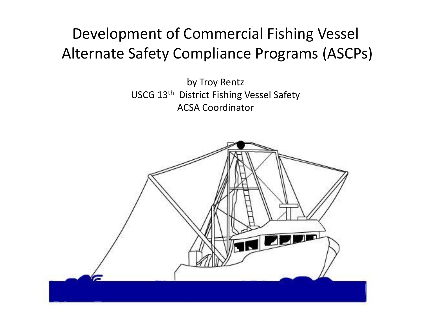#### Development of Commercial Fishing Vessel Alternate Safety Compliance Programs (ASCPs)

by Troy Rentz USCG 13<sup>th</sup> District Fishing Vessel Safety ACSA Coordinator

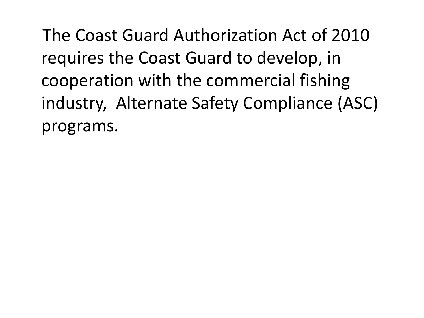The Coast Guard Authorization Act of 2010 requires the Coast Guard to develop, in cooperation with the commercial fishing industry, Alternate Safety Compliance (ASC) programs.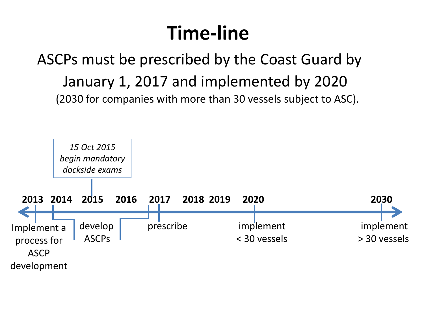# **Time-line**

ASCPs must be prescribed by the Coast Guard by January 1, 2017 and implemented by 2020 (2030 for companies with more than 30 vessels subject to ASC).

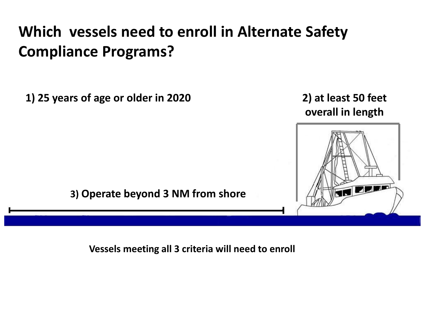#### **Which vessels need to enroll in Alternate Safety Compliance Programs?**

**1) 25 years of age or older in 2020** 

**2) at least 50 feet overall in length**



**Vessels meeting all 3 criteria will need to enroll**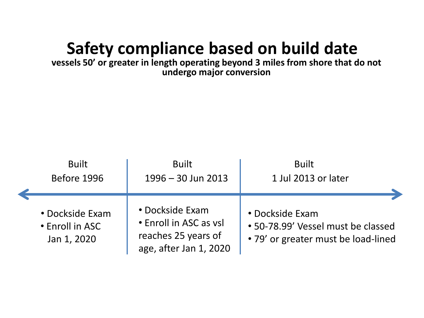#### **Safety compliance based on build date**

**vessels 50' or greater in length operating beyond 3 miles from shore that do not undergo major conversion**

| <b>Built</b>                                      | <b>Built</b>                                                                               | <b>Built</b>        |
|---------------------------------------------------|--------------------------------------------------------------------------------------------|---------------------|
| Before 1996                                       | 1996 - 30 Jun 2013                                                                         | 1 Jul 2013 or later |
| • Dockside Exam<br>• Enroll in ASC<br>Jan 1, 2020 | • Dockside Exam<br>• Enroll in ASC as vsl<br>reaches 25 years of<br>age, after Jan 1, 2020 |                     |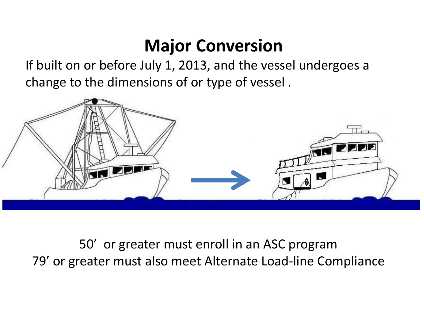#### **Major Conversion**

If built on or before July 1, 2013, and the vessel undergoes a change to the dimensions of or type of vessel .



50' or greater must enroll in an ASC program 79' or greater must also meet Alternate Load-line Compliance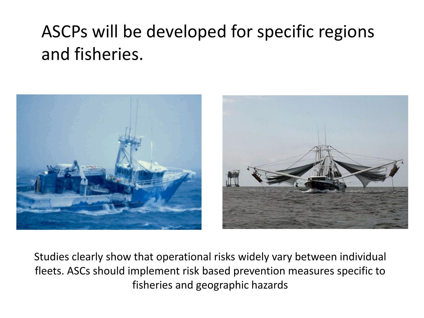### ASCPs will be developed for specific regions and fisheries.



Studies clearly show that operational risks widely vary between individual fleets. ASCs should implement risk based prevention measures specific to fisheries and geographic hazards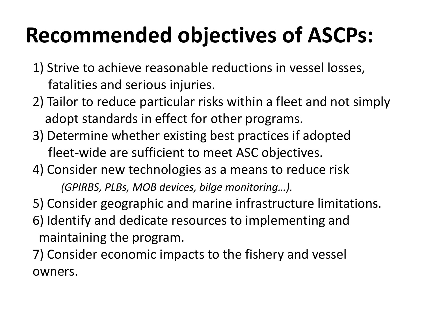# **Recommended objectives of ASCPs:**

- 1) Strive to achieve reasonable reductions in vessel losses, fatalities and serious injuries.
- 2) Tailor to reduce particular risks within a fleet and not simply adopt standards in effect for other programs.
- 3) Determine whether existing best practices if adopted fleet-wide are sufficient to meet ASC objectives.
- 4) Consider new technologies as a means to reduce risk *(GPIRBS, PLBs, MOB devices, bilge monitoring…).*
- 5) Consider geographic and marine infrastructure limitations.
- 6) Identify and dedicate resources to implementing and maintaining the program.
- 7) Consider economic impacts to the fishery and vessel owners.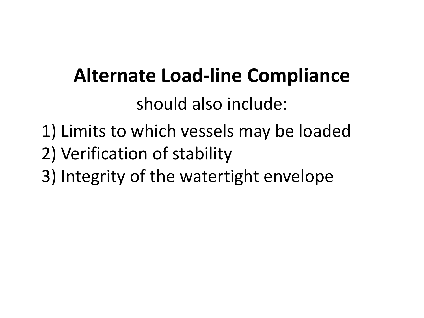## **Alternate Load-line Compliance** should also include:

- 1) Limits to which vessels may be loaded 2) Verification of stability
- 3) Integrity of the watertight envelope